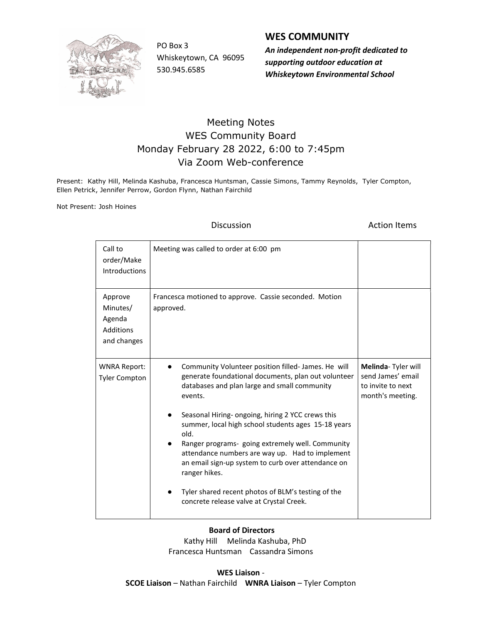

PO Box 3 Whiskeytown, CA 96095 530.945.6585

### WES COMMUNITY

An independent non-profit dedicated to supporting outdoor education at Whiskeytown Environmental School

## Meeting Notes WES Community Board Monday February 28 2022, 6:00 to 7:45pm Via Zoom Web-conference

Present: Kathy Hill, Melinda Kashuba, Francesca Huntsman, Cassie Simons, Tammy Reynolds, Tyler Compton, Ellen Petrick, Jennifer Perrow, Gordon Flynn, Nathan Fairchild

Not Present: Josh Hoines

**Discussion Contract Contract Discussion Contract Contract Action Items** 

| Call to<br>order/Make<br><b>Introductions</b>             | Meeting was called to order at 6:00 pm                                                                                                                                                                                                                                                                                                                                                                                                                                                                                                                                               |                                                                                  |
|-----------------------------------------------------------|--------------------------------------------------------------------------------------------------------------------------------------------------------------------------------------------------------------------------------------------------------------------------------------------------------------------------------------------------------------------------------------------------------------------------------------------------------------------------------------------------------------------------------------------------------------------------------------|----------------------------------------------------------------------------------|
| Approve<br>Minutes/<br>Agenda<br>Additions<br>and changes | Francesca motioned to approve. Cassie seconded. Motion<br>approved.                                                                                                                                                                                                                                                                                                                                                                                                                                                                                                                  |                                                                                  |
| <b>WNRA Report:</b><br><b>Tyler Compton</b>               | Community Volunteer position filled-James. He will<br>$\bullet$<br>generate foundational documents, plan out volunteer<br>databases and plan large and small community<br>events.<br>Seasonal Hiring- ongoing, hiring 2 YCC crews this<br>summer, local high school students ages 15-18 years<br>old.<br>Ranger programs-going extremely well. Community<br>attendance numbers are way up. Had to implement<br>an email sign-up system to curb over attendance on<br>ranger hikes.<br>Tyler shared recent photos of BLM's testing of the<br>concrete release valve at Crystal Creek. | Melinda-Tyler will<br>send James' email<br>to invite to next<br>month's meeting. |

### Board of Directors

 Kathy Hill Melinda Kashuba, PhD Francesca Huntsman Cassandra Simons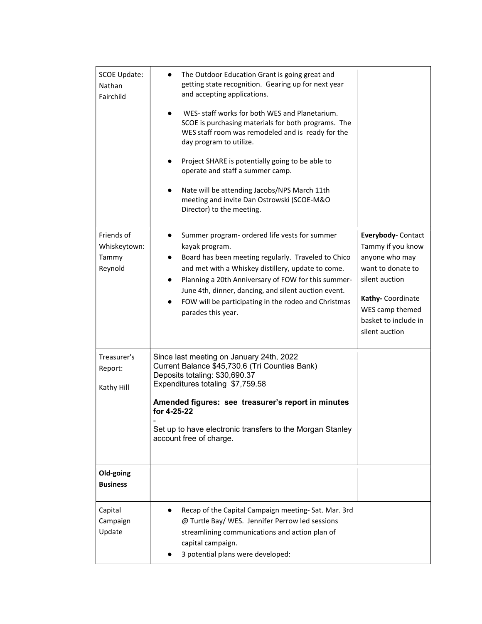| <b>SCOE Update:</b><br>Nathan<br>Fairchild     | The Outdoor Education Grant is going great and<br>$\bullet$<br>getting state recognition. Gearing up for next year<br>and accepting applications.<br>WES- staff works for both WES and Planetarium.<br>SCOE is purchasing materials for both programs. The<br>WES staff room was remodeled and is ready for the<br>day program to utilize.<br>Project SHARE is potentially going to be able to<br>operate and staff a summer camp.<br>Nate will be attending Jacobs/NPS March 11th<br>meeting and invite Dan Ostrowski (SCOE-M&O<br>Director) to the meeting. |                                                                                                                                                                                  |  |
|------------------------------------------------|---------------------------------------------------------------------------------------------------------------------------------------------------------------------------------------------------------------------------------------------------------------------------------------------------------------------------------------------------------------------------------------------------------------------------------------------------------------------------------------------------------------------------------------------------------------|----------------------------------------------------------------------------------------------------------------------------------------------------------------------------------|--|
| Friends of<br>Whiskeytown:<br>Tammy<br>Reynold | Summer program- ordered life vests for summer<br>$\bullet$<br>kayak program.<br>Board has been meeting regularly. Traveled to Chico<br>$\bullet$<br>and met with a Whiskey distillery, update to come.<br>Planning a 20th Anniversary of FOW for this summer-<br>$\bullet$<br>June 4th, dinner, dancing, and silent auction event.<br>FOW will be participating in the rodeo and Christmas<br>parades this year.                                                                                                                                              | Everybody-Contact<br>Tammy if you know<br>anyone who may<br>want to donate to<br>silent auction<br>Kathy-Coordinate<br>WES camp themed<br>basket to include in<br>silent auction |  |
| Treasurer's<br>Report:<br>Kathy Hill           | Since last meeting on January 24th, 2022<br>Current Balance \$45,730.6 (Tri Counties Bank)<br>Deposits totaling: \$30,690.37<br>Expenditures totaling \$7,759.58<br>Amended figures: see treasurer's report in minutes<br>for 4-25-22<br>Set up to have electronic transfers to the Morgan Stanley<br>account free of charge.                                                                                                                                                                                                                                 |                                                                                                                                                                                  |  |
| Old-going<br><b>Business</b>                   |                                                                                                                                                                                                                                                                                                                                                                                                                                                                                                                                                               |                                                                                                                                                                                  |  |
| Capital<br>Campaign<br>Update                  | Recap of the Capital Campaign meeting-Sat. Mar. 3rd<br>@ Turtle Bay/ WES. Jennifer Perrow led sessions<br>streamlining communications and action plan of<br>capital campaign.<br>3 potential plans were developed:                                                                                                                                                                                                                                                                                                                                            |                                                                                                                                                                                  |  |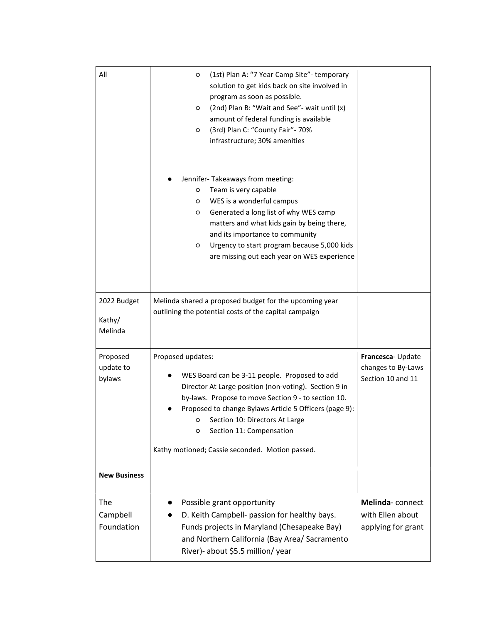| All                              | (1st) Plan A: "7 Year Camp Site"- temporary<br>O<br>solution to get kids back on site involved in<br>program as soon as possible.<br>(2nd) Plan B: "Wait and See"- wait until (x)<br>$\circ$<br>amount of federal funding is available<br>(3rd) Plan C: "County Fair"- 70%<br>O<br>infrastructure; 30% amenities                                                   |                                                             |  |
|----------------------------------|--------------------------------------------------------------------------------------------------------------------------------------------------------------------------------------------------------------------------------------------------------------------------------------------------------------------------------------------------------------------|-------------------------------------------------------------|--|
|                                  | Jennifer-Takeaways from meeting:<br>Team is very capable<br>O<br>WES is a wonderful campus<br>O<br>Generated a long list of why WES camp<br>O<br>matters and what kids gain by being there,<br>and its importance to community<br>Urgency to start program because 5,000 kids<br>O<br>are missing out each year on WES experience                                  |                                                             |  |
| 2022 Budget<br>Kathy/<br>Melinda | Melinda shared a proposed budget for the upcoming year<br>outlining the potential costs of the capital campaign                                                                                                                                                                                                                                                    |                                                             |  |
| Proposed<br>update to<br>bylaws  | Proposed updates:<br>WES Board can be 3-11 people. Proposed to add<br>Director At Large position (non-voting). Section 9 in<br>by-laws. Propose to move Section 9 - to section 10.<br>Proposed to change Bylaws Article 5 Officers (page 9):<br>Section 10: Directors At Large<br>Section 11: Compensation<br>O<br>Kathy motioned; Cassie seconded. Motion passed. | Francesca-Update<br>changes to By-Laws<br>Section 10 and 11 |  |
| <b>New Business</b>              |                                                                                                                                                                                                                                                                                                                                                                    |                                                             |  |
| The<br>Campbell<br>Foundation    | Possible grant opportunity<br>D. Keith Campbell- passion for healthy bays.<br>Funds projects in Maryland (Chesapeake Bay)<br>and Northern California (Bay Area/ Sacramento<br>River)- about \$5.5 million/ year                                                                                                                                                    | Melinda-connect<br>with Ellen about<br>applying for grant   |  |